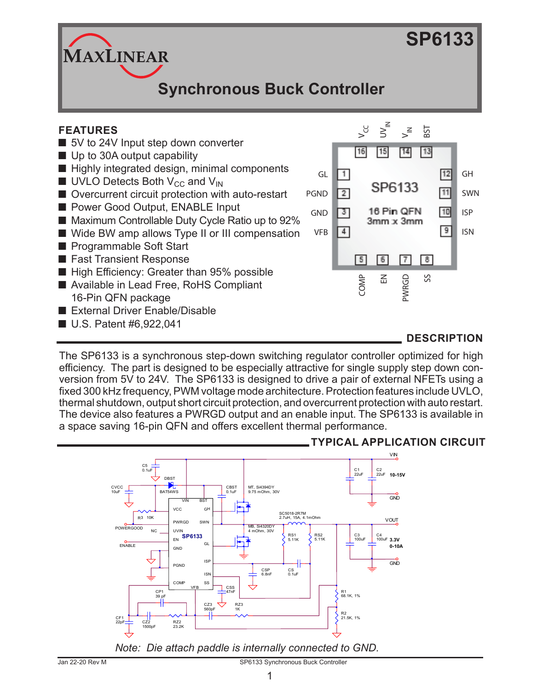# **SP6133**

**Synchronous Buck Controller**

# **FEATURES**

- 5V to 24V Input step down converter
- Up to 30A output capability

**MAXLINEAR** 

- Highly integrated design, minimal components
- $\blacksquare$  UVLO Detects Both V<sub>CC</sub> and V<sub>IN</sub>
- Overcurrent circuit protection with auto-restart
- Power Good Output, ENABLE Input
- Maximum Controllable Duty Cycle Ratio up to 92%
- Wide BW amp allows Type II or III compensation
- Programmable Soft Start
- Fast Transient Response
- High Efficiency: Greater than 95% possible
- Available in Lead Free, RoHS Compliant 16-Pin QFN package
- External Driver Enable/Disable
- U.S. Patent #6,922,041



# **DESCRIPTION**

The SP6133 is a synchronous step-down switching regulator controller optimized for high efficiency. The part is designed to be especially attractive for single supply step down conversion from 5V to 24V. The SP6133 is designed to drive a pair of external NFETs using a fixed 300 kHz frequency, PWM voltage mode architecture. Protection features include UVLO, thermal shutdown, output short circuit protection, and overcurrent protection with auto restart. The device also features a PWRGD output and an enable input. The SP6133 is available in a space saving 16-pin QFN and offers excellent thermal performance.



## **TYPICAL APPLICATION CIRCUIT**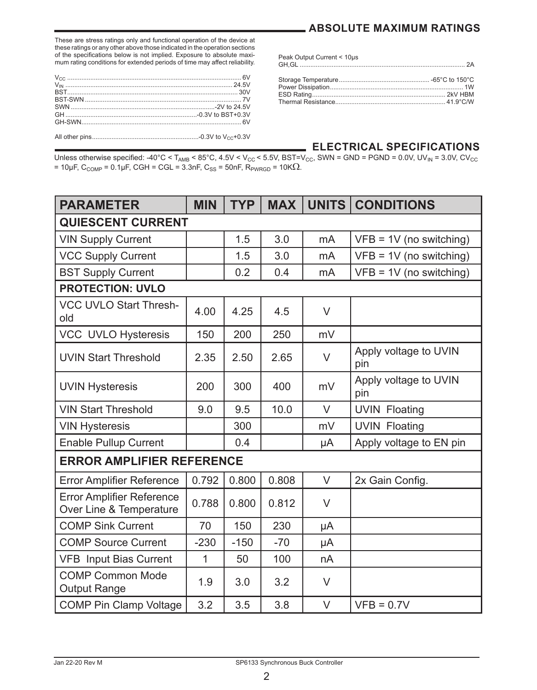## **ABSOLUTE MAXIMUM RATINGS**

These are stress ratings only and functional operation of the device at these ratings or any other above those indicated in the operation sections of the specifications below is not implied. Exposure to absolute maximum rating conditions for extended periods of time may affect reliability.

| Peak Output Current < 10µs |  |
|----------------------------|--|
|                            |  |

#### **ELECTRICAL SPECIFICATIONS**

Unless otherwise specified: -40°C < T<sub>AMB</sub> < 85°C, 4.5V < V<sub>CC</sub> < 5.5V, BST=V<sub>CC</sub>, SWN = GND = PGND = 0.0V, UV<sub>IN</sub> = 3.0V, CV<sub>CC</sub>  $= 10 \mu$ F, C<sub>COMP</sub> = 0.1μF, CGH = CGL = 3.3nF, C<sub>SS</sub> = 50nF, R<sub>PWRGD</sub> = 10KΩ.

| <b>PARAMETER</b>                                            | <b>MIN</b>   | <b>TYP</b> | <b>MAX</b> |                | UNITS CONDITIONS             |
|-------------------------------------------------------------|--------------|------------|------------|----------------|------------------------------|
| <b>QUIESCENT CURRENT</b>                                    |              |            |            |                |                              |
| <b>VIN Supply Current</b>                                   |              | 1.5        | 3.0        | mA             | $VFB = 1V$ (no switching)    |
| <b>VCC Supply Current</b>                                   |              | 1.5        | 3.0        | m <sub>A</sub> | $VFB = 1V$ (no switching)    |
| <b>BST Supply Current</b>                                   |              | 0.2        | 0.4        | mA             | $VFB = 1V$ (no switching)    |
| <b>PROTECTION: UVLO</b>                                     |              |            |            |                |                              |
| <b>VCC UVLO Start Thresh-</b><br>old                        | 4.00         | 4.25       | 4.5        | $\vee$         |                              |
| VCC UVLO Hysteresis                                         | 150          | 200        | 250        | mV             |                              |
| <b>UVIN Start Threshold</b>                                 | 2.35         | 2.50       | 2.65       | $\vee$         | Apply voltage to UVIN<br>pin |
| <b>UVIN Hysteresis</b>                                      | 200          | 300        | 400        | mV             | Apply voltage to UVIN<br>pin |
| <b>VIN Start Threshold</b>                                  | 9.0          | 9.5        | 10.0       | V              | <b>UVIN Floating</b>         |
| <b>VIN Hysteresis</b>                                       |              | 300        |            | mV             | <b>UVIN Floating</b>         |
| <b>Enable Pullup Current</b>                                |              | 0.4        |            | μA             | Apply voltage to EN pin      |
| <b>ERROR AMPLIFIER REFERENCE</b>                            |              |            |            |                |                              |
| <b>Error Amplifier Reference</b>                            | 0.792        | 0.800      | 0.808      | V              | 2x Gain Config.              |
| <b>Error Amplifier Reference</b><br>Over Line & Temperature | 0.788        | 0.800      | 0.812      | $\vee$         |                              |
| <b>COMP Sink Current</b>                                    | 70           | 150        | 230        | μA             |                              |
| <b>COMP Source Current</b>                                  | $-230$       | $-150$     | $-70$      | μA             |                              |
| <b>VFB Input Bias Current</b>                               | $\mathbf{1}$ | 50         | 100        | nA             |                              |
| <b>COMP Common Mode</b><br><b>Output Range</b>              | 1.9          | 3.0        | 3.2        | V              |                              |
| <b>COMP Pin Clamp Voltage</b>                               | 3.2          | 3.5        | 3.8        | $\vee$         | $VFB = 0.7V$                 |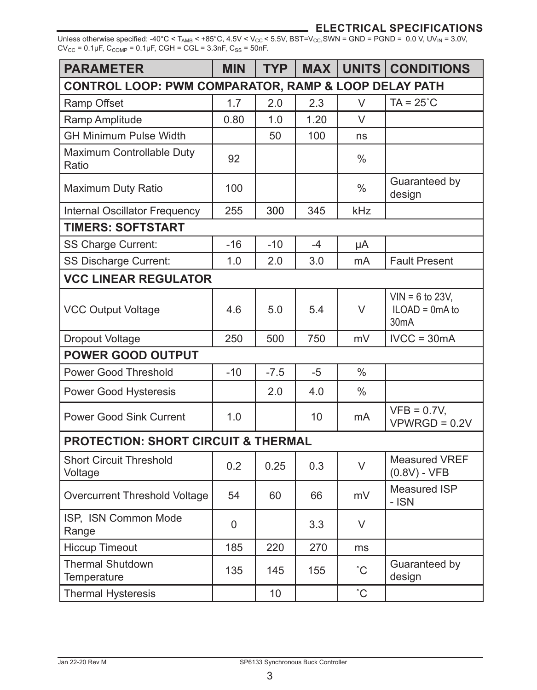## **ELECTRICAL SPECIFICATIONS**

Unless otherwise specified: -40°C < T<sub>AMB</sub> < +85°C, 4.5V < V<sub>CC</sub> < 5.5V, BST=V<sub>CC</sub>, SWN = GND =  $PGND = 0.0$  V, UV<sub>IN</sub> = 3.0V,  $CV_{CC} = 0.1 \mu F$ ,  $C_{COMP} = 0.1 \mu F$ ,  $CGH = CGL = 3.3nF$ ,  $C_{SS} = 50nF$ .

| <b>PARAMETER</b>                                     | <b>MIN</b> | TYP    | <b>MAX</b> |               | UNITS CONDITIONS                                           |  |  |  |
|------------------------------------------------------|------------|--------|------------|---------------|------------------------------------------------------------|--|--|--|
| CONTROL LOOP: PWM COMPARATOR, RAMP & LOOP DELAY PATH |            |        |            |               |                                                            |  |  |  |
| Ramp Offset                                          | 1.7        | 2.0    | 2.3        | V             | $TA = 25^{\circ}C$                                         |  |  |  |
| Ramp Amplitude                                       | 0.80       | 1.0    | 1.20       | $\vee$        |                                                            |  |  |  |
| GH Minimum Pulse Width                               |            | 50     | 100        | ns            |                                                            |  |  |  |
| Maximum Controllable Duty<br>Ratio                   | 92         |        |            | $\frac{0}{0}$ |                                                            |  |  |  |
| Maximum Duty Ratio                                   | 100        |        |            | $\frac{0}{0}$ | Guaranteed by<br>design                                    |  |  |  |
| Internal Oscillator Frequency                        | 255        | 300    | 345        | kHz           |                                                            |  |  |  |
| <b>TIMERS: SOFTSTART</b>                             |            |        |            |               |                                                            |  |  |  |
| SS Charge Current:                                   | $-16$      | $-10$  | -4         | μA            |                                                            |  |  |  |
| SS Discharge Current:                                | 1.0        | 2.0    | 3.0        | mA            | <b>Fault Present</b>                                       |  |  |  |
| <b>VCC LINEAR REGULATOR</b>                          |            |        |            |               |                                                            |  |  |  |
| <b>VCC Output Voltage</b>                            | 4.6        | 5.0    | 5.4        | $\vee$        | $VIN = 6$ to 23V,<br>$ILOAD = OmA$ to<br>30 <sub>m</sub> A |  |  |  |
| Dropout Voltage                                      | 250        | 500    | 750        | mV            | $IVCC = 30mA$                                              |  |  |  |
| <b>POWER GOOD OUTPUT</b>                             |            |        |            |               |                                                            |  |  |  |
| <b>Power Good Threshold</b>                          | $-10$      | $-7.5$ | $-5$       | $\frac{0}{0}$ |                                                            |  |  |  |
| Power Good Hysteresis                                |            | 2.0    | 4.0        | $\frac{0}{0}$ |                                                            |  |  |  |
| <b>Power Good Sink Current</b>                       | 1.0        |        | 10         | mA            | $VFB = 0.7V,$<br>$VPWRGD = 0.2V$                           |  |  |  |
| <b>PROTECTION: SHORT CIRCUIT &amp; THERMAL</b>       |            |        |            |               |                                                            |  |  |  |
| <b>Short Circuit Threshold</b><br>Voltage            | 0.2        | 0.25   | 0.3        | $\vee$        | <b>Measured VREF</b><br>$(0.8V)$ - VFB                     |  |  |  |
| Overcurrent Threshold Voltage                        | 54         | 60     | 66         | mV            | Measured ISP<br>$ ISN$                                     |  |  |  |
| ISP, ISN Common Mode<br>Range                        | 0          |        | 3.3        | $\vee$        |                                                            |  |  |  |
| <b>Hiccup Timeout</b>                                | 185        | 220    | 270        | ms            |                                                            |  |  |  |
| <b>Thermal Shutdown</b><br>Temperature               | 135        | 145    | 155        | $^{\circ}$ C  | Guaranteed by<br>design                                    |  |  |  |
| <b>Thermal Hysteresis</b>                            |            | 10     |            | $\hat{C}$     |                                                            |  |  |  |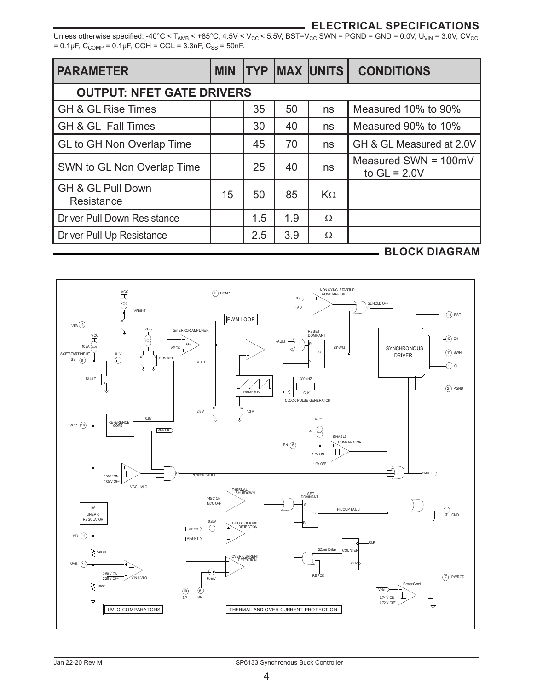# **ELECTRICAL SPECIFICATIONS**

Unless otherwise specified: -40°C < T<sub>AMB</sub> < +85°C, 4.5V < V<sub>CC</sub> < 5.5V, BST=V<sub>CC</sub>, SWN = PGND = GND = 0.0V, U<sub>VIN</sub> = 3.0V, CV<sub>CC</sub>  $= 0.1 \mu F$ , C<sub>COMP</sub> =  $0.1 \mu F$ , CGH = CGL = 3.3nF, C<sub>SS</sub> = 50nF.

| <b>PARAMETER</b>                   | <b>MIN</b> |     |     | <b>TYP MAX UNITS</b> | <b>CONDITIONS</b>                        |  |  |  |
|------------------------------------|------------|-----|-----|----------------------|------------------------------------------|--|--|--|
| <b>OUTPUT: NFET GATE DRIVERS</b>   |            |     |     |                      |                                          |  |  |  |
| <b>GH &amp; GL Rise Times</b>      |            | 35  | 50  | ns                   | Measured 10% to 90%                      |  |  |  |
| GH & GL Fall Times                 |            | 30  | 40  | ns                   | Measured 90% to 10%                      |  |  |  |
| GL to GH Non Overlap Time          |            | 45  | 70  | ns                   | GH & GL Measured at 2.0V                 |  |  |  |
| SWN to GL Non Overlap Time         |            | 25  | 40  | ns                   | Measured SWN = $100mV$<br>to $GL = 2.0V$ |  |  |  |
| GH & GL Pull Down<br>Resistance    | 15         | 50  | 85  | $K_{\Omega}$         |                                          |  |  |  |
| <b>Driver Pull Down Resistance</b> |            | 1.5 | 1.9 | Ω                    |                                          |  |  |  |
| Driver Pull Up Resistance          |            | 2.5 | 3.9 | Ω                    |                                          |  |  |  |

#### **BLOCK DIAGRAM**

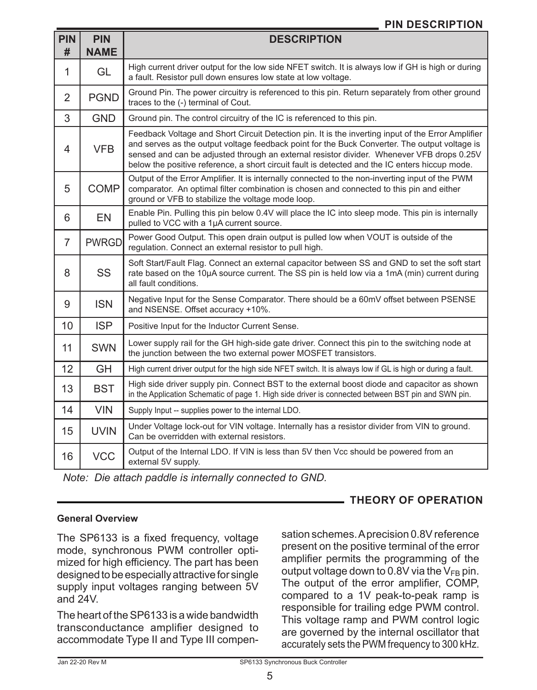# **PIN DESCRIPTION**

| <b>PIN</b><br># | <b>PIN</b><br><b>NAME</b> | <b>DESCRIPTION</b>                                                                                                                                                                                                                                                                                                                                                                                 |
|-----------------|---------------------------|----------------------------------------------------------------------------------------------------------------------------------------------------------------------------------------------------------------------------------------------------------------------------------------------------------------------------------------------------------------------------------------------------|
| 1               | GL                        | High current driver output for the low side NFET switch. It is always low if GH is high or during<br>a fault. Resistor pull down ensures low state at low voltage.                                                                                                                                                                                                                                 |
| 2               | <b>PGND</b>               | Ground Pin. The power circuitry is referenced to this pin. Return separately from other ground<br>traces to the (-) terminal of Cout.                                                                                                                                                                                                                                                              |
| 3               | <b>GND</b>                | Ground pin. The control circuitry of the IC is referenced to this pin.                                                                                                                                                                                                                                                                                                                             |
| 4               | <b>VFB</b>                | Feedback Voltage and Short Circuit Detection pin. It is the inverting input of the Error Amplifier<br>and serves as the output voltage feedback point for the Buck Converter. The output voltage is<br>sensed and can be adjusted through an external resistor divider. Whenever VFB drops 0.25V<br>below the positive reference, a short circuit fault is detected and the IC enters hiccup mode. |
| 5               | <b>COMP</b>               | Output of the Error Amplifier. It is internally connected to the non-inverting input of the PWM<br>comparator. An optimal filter combination is chosen and connected to this pin and either<br>ground or VFB to stabilize the voltage mode loop.                                                                                                                                                   |
| 6               | <b>EN</b>                 | Enable Pin. Pulling this pin below 0.4V will place the IC into sleep mode. This pin is internally<br>pulled to VCC with a 1µA current source.                                                                                                                                                                                                                                                      |
| 7               | <b>PWRGD</b>              | Power Good Output. This open drain output is pulled low when VOUT is outside of the<br>regulation. Connect an external resistor to pull high.                                                                                                                                                                                                                                                      |
| 8               | <b>SS</b>                 | Soft Start/Fault Flag. Connect an external capacitor between SS and GND to set the soft start<br>rate based on the 10µA source current. The SS pin is held low via a 1mA (min) current during<br>all fault conditions.                                                                                                                                                                             |
| 9               | <b>ISN</b>                | Negative Input for the Sense Comparator. There should be a 60mV offset between PSENSE<br>and NSENSE. Offset accuracy +10%.                                                                                                                                                                                                                                                                         |
| 10              | <b>ISP</b>                | Positive Input for the Inductor Current Sense.                                                                                                                                                                                                                                                                                                                                                     |
| 11              | <b>SWN</b>                | Lower supply rail for the GH high-side gate driver. Connect this pin to the switching node at<br>the junction between the two external power MOSFET transistors.                                                                                                                                                                                                                                   |
| 12              | GH                        | High current driver output for the high side NFET switch. It is always low if GL is high or during a fault.                                                                                                                                                                                                                                                                                        |
| 13              | <b>BST</b>                | High side driver supply pin. Connect BST to the external boost diode and capacitor as shown<br>in the Application Schematic of page 1. High side driver is connected between BST pin and SWN pin.                                                                                                                                                                                                  |
| 14              | <b>VIN</b>                | Supply Input -- supplies power to the internal LDO.                                                                                                                                                                                                                                                                                                                                                |
| 15              | <b>UVIN</b>               | Under Voltage lock-out for VIN voltage. Internally has a resistor divider from VIN to ground.<br>Can be overridden with external resistors.                                                                                                                                                                                                                                                        |
| 16              | <b>VCC</b>                | Output of the Internal LDO. If VIN is less than 5V then Vcc should be powered from an<br>external 5V supply.                                                                                                                                                                                                                                                                                       |

*Note: Die attach paddle is internally connected to GND.*

## **General Overview**

The SP6133 is a fixed frequency, voltage mode, synchronous PWM controller optimized for high efficiency. The part has been designed to be especially attractive for single supply input voltages ranging between 5V and  $24V$ 

The heart of the SP6133 is a wide bandwidth transconductance amplifier designed to accommodate Type II and Type III compen-

sation schemes. A precision 0.8V reference present on the positive terminal of the error amplifier permits the programming of the output voltage down to 0.8V via the  $V_{FB}$  pin. The output of the error amplifier, COMP, compared to a 1V peak-to-peak ramp is responsible for trailing edge PWM control. This voltage ramp and PWM control logic are governed by the internal oscillator that accurately sets the PWM frequency to 300 kHz.

**THEORY OF OPERATION**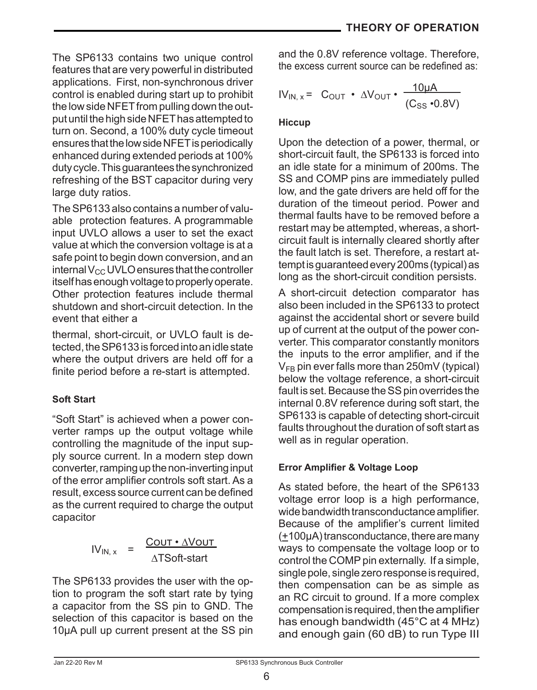The SP6133 contains two unique control features that are very powerful in distributed applications. First, non-synchronous driver control is enabled during start up to prohibit the low side NFET from pulling down the output until the high side NFET has attempted to turn on. Second, a 100% duty cycle timeout ensures that the low side NFET is periodically enhanced during extended periods at 100% duty cycle. This guarantees the synchronized refreshing of the BST capacitor during very large duty ratios.

The SP6133 also contains a number of valuable protection features. A programmable input UVLO allows a user to set the exact value at which the conversion voltage is at a safe point to begin down conversion, and an internal  $V_{CC}$  UVLO ensures that the controller itself has enough voltage to properly operate. Other protection features include thermal shutdown and short-circuit detection. In the event that either a

thermal, short-circuit, or UVLO fault is detected, the SP6133 is forced into an idle state where the output drivers are held off for a finite period before a re-start is attempted.

# **Soft Start**

"Soft Start" is achieved when a power converter ramps up the output voltage while controlling the magnitude of the input supply source current. In a modern step down converter, ramping up the non-inverting input of the error amplifier controls soft start.As a result, excess source current can be defined as the current required to charge the output capacitor

$$
IV_{IN, x} = \frac{COUT \cdot \Delta VOUT}{\Delta TSoft-start}
$$

The SP6133 provides the user with the option to program the soft start rate by tying a capacitor from the SS pin to GND. The selection of this capacitor is based on the 10µA pull up current present at the SS pin

and the 0.8V reference voltage. Therefore, the excess current source can be redefined as:

$$
IV_{IN, x} = C_{OUT} \cdot \Delta V_{OUT} \cdot \frac{10 \mu A}{(C_{SS} \cdot 0.8 V)}
$$

# **Hiccup**

Upon the detection of a power, thermal, or short-circuit fault, the SP6133 is forced into an idle state for a minimum of 200ms. The SS and COMP pins are immediately pulled low, and the gate drivers are held off for the duration of the timeout period. Power and thermal faults have to be removed before a restart may be attempted, whereas, a shortcircuit fault is internally cleared shortly after the fault latch is set. Therefore, a restart attempt is guaranteed every 200ms (typical) as long as the short-circuit condition persists.

A short-circuit detection comparator has also been included in the SP6133 to protect against the accidental short or severe build up of current at the output of the power converter. This comparator constantly monitors the inputs to the error amplifier, and if the  $V_{FB}$  pin ever falls more than 250mV (typical) below the voltage reference, a short-circuit fault is set. Because the SS pin overrides the internal 0.8V reference during soft start, the SP6133 is capable of detecting short-circuit faults throughout the duration of soft start as well as in regular operation.

# **Error Amplifier & Voltage Loop**

As stated before, the heart of the SP6133 voltage error loop is a high performance, wide bandwidth transconductance amplifier. Because of the amplifier's current limited (+100µA) transconductance, there are many ways to compensate the voltage loop or to control the COMP pin externally. If a simple, single pole, single zero response is required. then compensation can be as simple as an RC circuit to ground. If a more complex compensation is required, then the amplifier has enough bandwidth (45°C at 4 MHz) and enough gain (60 dB) to run Type III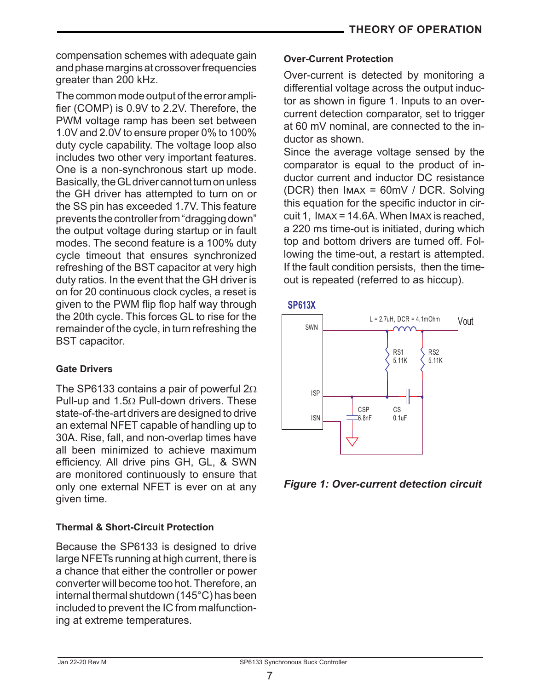compensation schemes with adequate gain andphasemarginsat crossoverfrequencies greater than 200 kHz.

The common mode output of the error amplifier (COMP) is 0.9V to 2.2V. Therefore, the PWM voltage ramp has been set between 1.0V and 2.0V to ensure proper 0% to 100% duty cycle capability. The voltage loop also includes two other very important features. One is a non-synchronous start up mode. Basically, the GL driver cannot turn on unless the GH driver has attempted to turn on or the SS pin has exceeded 1.7V. This feature prevents the controller from "dragging down" the output voltage during startup or in fault modes. The second feature is a 100% duty cycle timeout that ensures synchronized refreshing of the BST capacitor at very high duty ratios. In the event that the GH driver is on for 20 continuous clock cycles, a reset is given to the PWM flip flop half way through the 20th cycle. This forces GL to rise for the remainder of the cycle, in turn refreshing the BST capacitor.

# **Gate Drivers**

The SP6133 contains a pair of powerful 2Ω Pull-up and 1.5Ω Pull-down drivers. These state-of-the-art drivers are designed to drive an external NFET capable of handling up to 30A. Rise, fall, and non-overlap times have all been minimized to achieve maximum efficiency. All drive pins GH, GL, & SWN are monitored continuously to ensure that only one external NFET is ever on at any given time.

# **Thermal & Short-Circuit Protection**

Because the SP6133 is designed to drive large NFETs running at high current, there is a chance that either the controller or power converter will become too hot. Therefore, an internal thermal shutdown (145°C) has been included to prevent the IC from malfunctioning at extreme temperatures.

## **Over-Current Protection**

Over-current is detected by monitoring a differential voltage across the output inductor as shown in figure 1. Inputs to an overcurrent detection comparator, set to trigger at 60 mV nominal, are connected to the inductor as shown.

Since the average voltage sensed by the comparator is equal to the product of inductor current and inductor DC resistance (DCR) then Imax = 60mV / DCR. Solving this equation for the specific inductor in circuit 1, Imax = 14.6A. When Imax is reached, a 220 ms time-out is initiated, during which top and bottom drivers are turned off. Following the time-out, a restart is attempted. If the fault condition persists, then the timeout is repeated (referred to as hiccup).





*Figure 1: Over-current detection circuit*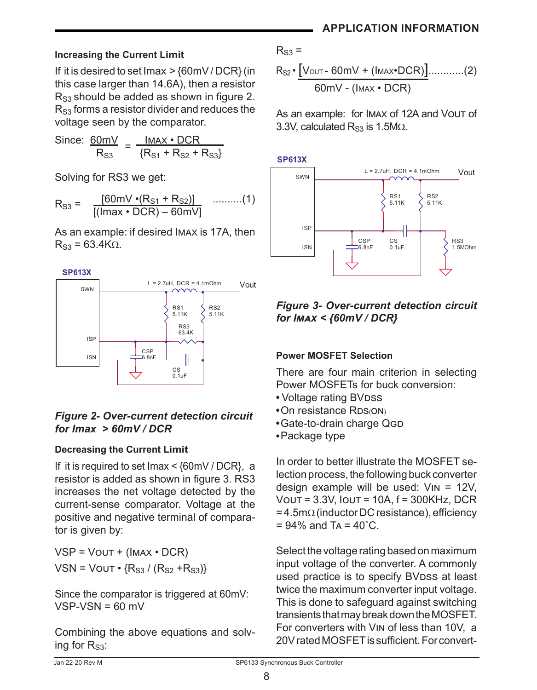# **Increasing the Current Limit**

If it is desired to set Imax  $>$  {60mV / DCR} (in this case larger than 14.6A), then a resistor  $R_{S3}$  should be added as shown in figure 2.  $R_{S3}$  forms a resistor divider and reduces the voltage seen by the comparator.

Since: 
$$
\frac{60 \text{mV}}{\text{R}_{s3}} = \frac{\text{Imax} \cdot \text{DCR}}{\{\text{R}_{s1} + \text{R}_{s2} + \text{R}_{s3}\}}
$$

Solving for RS3 we get:

$$
R_{S3} = \frac{[60mV \cdot (R_{S1} + R_{S2})]}{[(lmax \cdot DCR) - 60mV]}
$$
 .........(1)

As an example: if desired Imax is 17A, then  $R_{S3}$  = 63.4K $\Omega$ .





# *Figure 2- Over-current detection circuit for Imax > 60mV / DCR*

# **Decreasing the Current Limit**

If it is required to set Imax < {60mV / DCR}, a resistor is added as shown in figure 3. RS3 increases the net voltage detected by the current-sense comparator. Voltage at the positive and negative terminal of comparator is given by:

 $VSP = VOUT + (IMAX \cdot DCR)$  $VSN = VOUT \cdot {R_{S3}} / (R_{S2} + R_{S3})$ 

Since the comparator is triggered at 60mV:  $VSP-VSN = 60$  mV

Combining the above equations and solving for  $R_{S3}$ :

$$
R_{S2} \cdot \frac{[V_{\text{OUT}} - 60mV + (I_{\text{MAX}} \cdot DCR)] \dots (2)}{60mV - (I_{\text{MAX}} \cdot DCR)}
$$

As an example: for IMAX of 12A and Vout of 3.3V, calculated  $R_{S3}$  is 1.5M $\Omega$ .



# *Figure 3- Over-current detection circuit for Imax < {60mV / DCR}*

# **Power MOSFET Selection**

There are four main criterion in selecting Power MOSFETs for buck conversion:

- Voltage rating BVDSS
- On resistance RDS(ON)
- Gate-to-drain charge QGD
- Package type

In order to better illustrate the MOSFET selection process, the following buck converter design example will be used: Vin = 12V, Vout = 3.3V, Iout = 10A, f = 300KHz, DCR = 4.5mΩ (inductorDCresistance), efficiency  $= 94\%$  and T<sub>A</sub> =  $40^{\circ}$ C.

Select the voltage rating based on maximum input voltage of the converter. A commonly used practice is to specify BVDSS at least twice the maximum converter input voltage. This is done to safeguard against switching transients that may break down the MOSFET. For converters with Vin of less than 10V, a 20VratedMOSFETis sufficient.For convert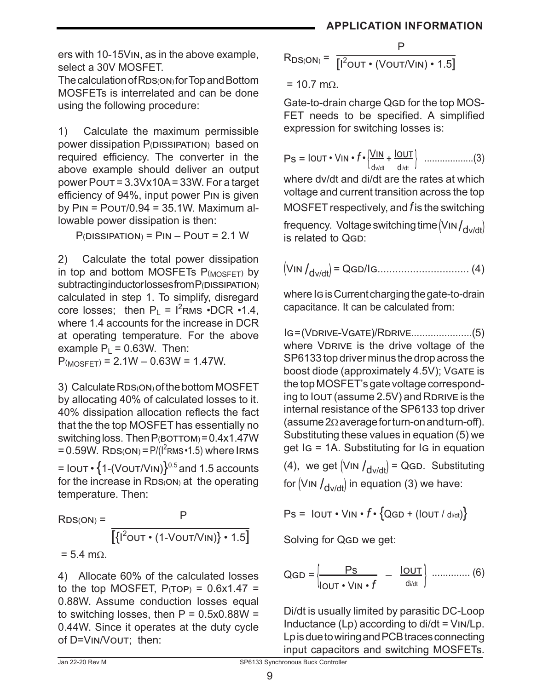ers with 10-15Vin, as in the above example, select a 30V MOSFET.

The calculation of RDS(ON) for Top and Bottom MOSFETs is interrelated and can be done using the following procedure:

1) Calculate the maximum permissible power dissipation P(DISSIPATION) based on required efficiency. The converter in the above example should deliver an output power Pout = 3.3Vx10A = 33W. For a target efficiency of 94%, input power Pin is given by  $P_{IN} = P_{OUT}/0.94 = 35.1W$ . Maximum allowable power dissipation is then:

 $P(DISSIPATION) = PIN - POUT = 2.1 W$ 

2) Calculate the total power dissipation in top and bottom MOSFETs  $P_{(MOSFET)}$  by subtracting inductor losses from P(DISSIPATION) calculated in step 1. To simplify, disregard core losses; then  $P_L = I^2 RMS \cdot DCR \cdot 1.4$ , where 1.4 accounts for the increase in DCR at operating temperature. For the above example  $P_1 = 0.63W$ . Then:

 $P_{(MOSFFT)} = 2.1W - 0.63W = 1.47W$ .

3) Calculate RDS(ON) of the bottom MOSFET by allocating 40% of calculated losses to it. 40% dissipation allocation reflects the fact that the the top MOSFET has essentially no switching loss. Then  $P(BOTTOM) = 0.4x1.47W$ = 0.59W.  $RDS(ON) = P/(I^2RMS \cdot 1.5)$  where IRMS  $=$  Iout •  $\{1-(V\text{OUT}/V\text{IN})\}^{0.5}$  and 1.5 accounts for the increase in  $RDS(ON)$  at the operating temperature. Then:

 $RDS(ON) = P$  $\left[\{\mathsf{I}^2 \mathsf{OUT} \bullet (\mathsf{1}\text{-}\mathsf{V}\mathsf{OUT}/\mathsf{V}\mathsf{IN})\} \bullet \mathsf{1.5}\right]$  $= 5.4$  m $O$ .

4) Allocate 60% of the calculated losses to the top MOSFET,  $P(TOP) = 0.6x1.47 =$ 0.88W. Assume conduction losses equal to switching losses, then  $P = 0.5x0.88W =$ 0.44W. Since it operates at the duty cycle of D=Vin/Vout; then:

$$
R_{DS(ON)} = \frac{P}{\left[I^2_{OUT} \cdot (V_{OUT}/V_{IN}) \cdot 1.5\right]}
$$

 $= 10.7$  mΩ.

Gate-to-drain charge QGD for the top MOS-FET needs to be specified. A simplified expression for switching losses is:

Ps = Iout • Vin • *f* • { <sup>V</sup>in <sup>+</sup> <sup>I</sup>out } ...................(3) dv/dt di/dt

where dv/dt and di/dt are the rates at which voltage and current transition across the top MOSFET respectively, and *f* is the switching

frequency. Voltage switching time  $(V_{\text{IN}}/d_{\text{V}})$  is related to QGD:

(Vin /dv/dt) = Qgd/Ig............................... (4)

where Ig is Current charging the gate-to-drain capacitance. It can be calculated from:

Ig = (Vdrive-Vgate)/Rdrive......................(5) where VDRIVE is the drive voltage of the SP6133 top driver minus the drop across the boost diode (approximately 4.5V); VGATE is the top MOSFET's gate voltage corresponding to Iout (assume 2.5V) and RDRIVE is the internal resistance of the SP6133 top driver (assume 2Ωaverageforturn-onandturn-off). Substituting these values in equation (5) we get Ig = 1A. Substituting for Ig in equation

(4), we get  $\langle$ VIN  $\rangle$ <sub>dv/dt</sub> $\rangle$  = QGD. Substituting for  $(VIN /_{dvldt})$  in equation (3) we have:

$$
Ps = IOUT \cdot VIN \cdot f \cdot \{QGD + (IOUT / divdt)\}
$$

Solving for QGD we get:

$$
QGD = \left\{\underline{\underline{P}S}_{\vert OUT \bullet \lor \vert N \bullet f} - \underline{\underline{I}OUT}_{\underline{d}_{\vert idt}}\right\} \dots \dots \dots \dots \dots (6)
$$

Di/dt is usually limited by parasitic DC-Loop Inductance  $(Lp)$  according to di/dt =  $VIN/Lp$ . Lp is due to wiring and PCB traces connecting input capacitors and switching MOSFETs.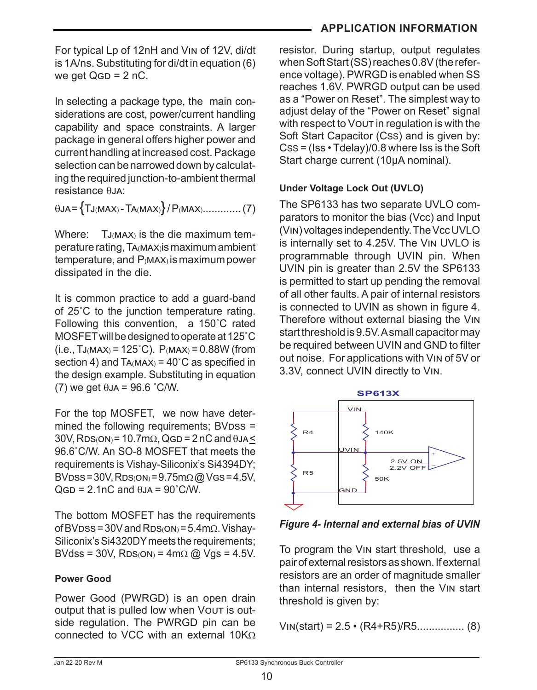For typical Lp of 12nH and Vin of 12V, di/dt is 1A/ns. Substituting for di/dt in equation (6) we get  $QGD = 2 nC$ .

In selecting a package type, the main considerations are cost, power/current handling capability and space constraints. A larger package in general offers higher power and current handling at increased cost. Package selection can be narrowed down by calculating the required junction-to-ambient thermal resistance θJA:

θja = {Tj(max) - Ta(max)} / P(max)............. (7)

Where:  $TJ(MAX)$  is the die maximum temperature rating, Ta(max)is maximum ambient temperature, and P(max) is maximum power dissipated in the die.

It is common practice to add a guard-band of 25˚C to the junction temperature rating. Following this convention, a 150˚C rated MOSFET will be designed to operate at 125°C  $(i.e., TJ(MAX) = 125^{\circ}C)$ .  $P(MAX) = 0.88W$  (from section 4) and  $TA(MAX) = 40^{\circ}$ C as specified in the design example. Substituting in equation (7) we get  $\theta$ JA = 96.6 °C/W.

For the top MOSFET, we now have determined the following requirements; BVDSS =  $30V$ , RDS(ON)= 10.7m $\Omega$ , QGD = 2 nC and  $\theta$ JA < 96.6˚C/W. An SO-8 MOSFET that meets the requirements is Vishay-Siliconix's Si4394DY;  $BVDS = 30V$ ,  $RDS(ON) = 9.75m\Omega$  @ Vgs = 4.5V,  $QGD = 2.1nC$  and  $\theta J = 90^\circ C/W$ .

The bottom MOSFET has the requirements of BVDss = 30V and RDs( $ON$ ) = 5.4m $\Omega$ . Vishay-Siliconix's Si4320DY meets the requirements; BVdss = 30V, RDs( $ON$ ) = 4m $\Omega$  @ Vgs = 4.5V.

#### **Power Good**

Power Good (PWRGD) is an open drain output that is pulled low when Vout is outside regulation. The PWRGD pin can be connected to VCC with an external 10KΩ

# **APPLICATION INFORMATION**

resistor. During startup, output regulates when Soft Start (SS) reaches 0.8V (the reference voltage). PWRGD is enabled when SS reaches 1.6V. PWRGD output can be used as a "Power on Reset". The simplest way to adjust delay of the "Power on Reset" signal with respect to Vout in regulation is with the Soft Start Capacitor (Css) and is given by: CSS = (Iss • Tdelay)/0.8 where Iss is the Soft Start charge current (10µA nominal).

#### **Under Voltage Lock Out (UVLO)**

The SP6133 has two separate UVLO comparators to monitor the bias (Vcc) and Input (Vin) voltages independently. The Vcc UVLO is internally set to 4.25V. The Vin UVLO is programmable through UVIN pin. When UVIN pin is greater than 2.5V the SP6133 is permitted to start up pending the removal of all other faults. A pair of internal resistors is connected to UVIN as shown in figure 4. Therefore without external biasing the Vin start threshold is 9.5V. A small capacitor may be required between UVIN and GND to filter out noise. For applications with Vin of 5V or 3.3V, connect UVIN directly to Vin.



*Figure 4- Internal and external bias of UVIN*

To program the Vin start threshold, use a pair of external resistors as shown. If external resistors are an order of magnitude smaller than internal resistors, then the Vin start threshold is given by:

$$
VIN(start) = 2.5 \cdot (R4 + R5)/R5 \dots (8)
$$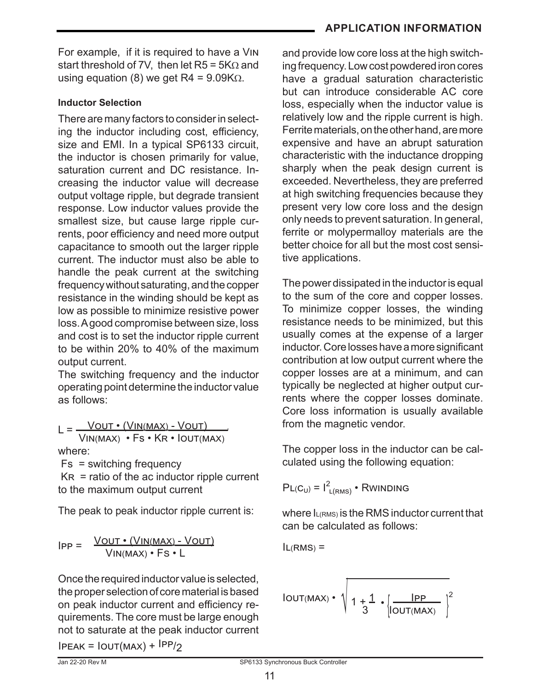For example, if it is required to have a Vin start threshold of 7V, then let  $R5 = 5K\Omega$  and using equation (8) we get R4 =  $9.09K\Omega$ .

## **Inductor Selection**

There are many factors to consider in selecting the inductor including cost, efficiency, size and EMI. In a typical SP6133 circuit, the inductor is chosen primarily for value, saturation current and DC resistance. Increasing the inductor value will decrease output voltage ripple, but degrade transient response. Low inductor values provide the smallest size, but cause large ripple currents, poor efficiency and need more output capacitance to smooth out the larger ripple current. The inductor must also be able to handle the peak current at the switching frequency without saturating, and the copper resistance in the winding should be kept as low as possible to minimize resistive power loss. A good compromise between size, loss and cost is to set the inductor ripple current to be within 20% to 40% of the maximum output current.

The switching frequency and the inductor operating point determine the inductor value as follows:

 $L = \frac{VOUT \cdot (VIN(MAX) - VOUT)}{V}$  Vin(max) • Fs • Kr • Iout(max) where:

Fs = switching frequency

 $KR =$  ratio of the ac inductor ripple current to the maximum output current

The peak to peak inductor ripple current is:

$$
IPP = \frac{VOUT \cdot (VIN(MAX) - VOUT)}{VIN(MAX) \cdot FS \cdot L}
$$

Once the required inductor value is selected, the proper selection of core material is based on peak inductor current and efficiency requirements. The core must be large enough not to saturate at the peak inductor current  $IPEAK = IOUT(MAX) + <sup>IPP</sup>/2$ 

 and provide low core loss at the high switching frequency. Low cost powdered iron cores have a gradual saturation characteristic but can introduce considerable AC core loss, especially when the inductor value is relatively low and the ripple current is high. Ferrite materials, on the other hand, are more expensive and have an abrupt saturation characteristic with the inductance dropping sharply when the peak design current is exceeded. Nevertheless, they are preferred at high switching frequencies because they present very low core loss and the design only needs to prevent saturation. In general, ferrite or molypermalloy materials are the better choice for all but the most cost sensitive applications.

The power dissipated in the inductor is equal to the sum of the core and copper losses. To minimize copper losses, the winding resistance needs to be minimized, but this usually comes at the expense of a larger inductor.Corelosseshaveamoresignificant contribution at low output current where the copper losses are at a minimum, and can typically be neglected at higher output currents where the copper losses dominate. Core loss information is usually available from the magnetic vendor.

The copper loss in the inductor can be calculated using the following equation:

 $PL(C_U) = I^2_{L(RMS)}$  • Rwinding

where  $I_{L(RMS)}$  is the RMS inductor current that can be calculated as follows:

 $IL(RMS) =$ 

$$
IOUT(MAX) \cdot \sqrt{1 + \frac{1}{3} \cdot \left(\frac{IPP}{I(MAX)}\right)^2}
$$

11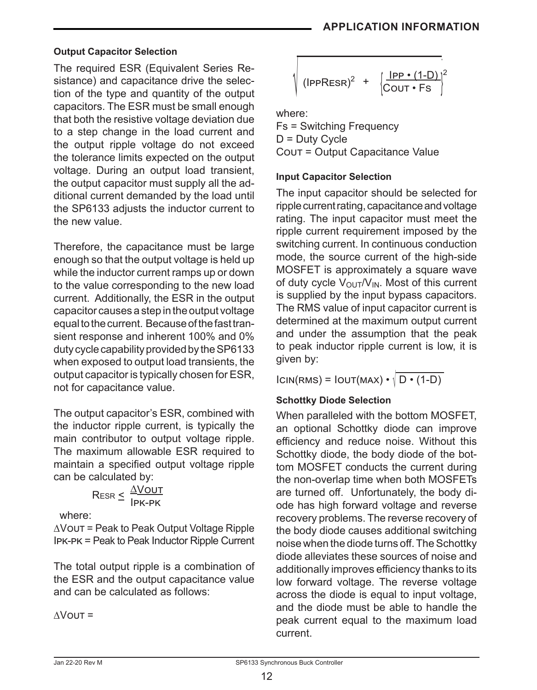### **Output Capacitor Selection**

The required ESR (Equivalent Series Resistance) and capacitance drive the selection of the type and quantity of the output capacitors. The ESR must be small enough that both the resistive voltage deviation due to a step change in the load current and the output ripple voltage do not exceed the tolerance limits expected on the output voltage. During an output load transient, the output capacitor must supply all the additional current demanded by the load until the SP6133 adjusts the inductor current to the new value.

Therefore, the capacitance must be large enough so that the output voltage is held up while the inductor current ramps up or down to the value corresponding to the new load current. Additionally, the ESR in the output capacitor causes a step in the output voltage equal to the current. Because of the fast transient response and inherent 100% and 0% duty cycle capability provided by the SP6133 when exposed to output load transients, the output capacitor is typically chosen for ESR, not for capacitance value.

The output capacitor's ESR, combined with the inductor ripple current, is typically the main contributor to output voltage ripple. The maximum allowable ESR required to maintain a specified output voltage ripple can be calculated by:

$$
\mathsf{ResR} \leq \frac{\Delta\mathsf{VOUT}}{\mathsf{IPK-PK}}
$$

where:

∆Vout = Peak to Peak Output Voltage Ripple Ipk-pk = Peak to Peak Inductor Ripple Current

The total output ripple is a combination of the ESR and the output capacitance value and can be calculated as follows:

 $\triangle V$  OUT =

$$
\sqrt{\frac{|PP \cdot (1-D)|^2}{(|PPRESR)^2 + \left|\frac{|PP \cdot (1-D)|}{COUT \cdot FS}\right|^2}}
$$

where:

Fs = Switching Frequency  $D = Duty$  Cycle Cout = Output Capacitance Value

#### **Input Capacitor Selection**

The input capacitor should be selected for ripple current rating, capacitance and voltage rating. The input capacitor must meet the ripple current requirement imposed by the switching current. In continuous conduction mode, the source current of the high-side MOSFET is approximately a square wave of duty cycle  $V_{\text{OUT}}/V_{\text{IN}}$ . Most of this current is supplied by the input bypass capacitors. The RMS value of input capacitor current is determined at the maximum output current and under the assumption that the peak to peak inductor ripple current is low, it is given by:

 $ICIN(RMS) = IOUT(MAX) \cdot \sqrt{D \cdot (1-D)}$ 

# **Schottky Diode Selection**

When paralleled with the bottom MOSFET, an optional Schottky diode can improve efficiency and reduce noise. Without this Schottky diode, the body diode of the bottom MOSFET conducts the current during the non-overlap time when both MOSFETs are turned off. Unfortunately, the body diode has high forward voltage and reverse recovery problems. The reverse recovery of the body diode causes additional switching noise when the diode turns off. The Schottky diode alleviates these sources of noise and additionally improves efficiency thanks to its low forward voltage. The reverse voltage across the diode is equal to input voltage, and the diode must be able to handle the peak current equal to the maximum load current.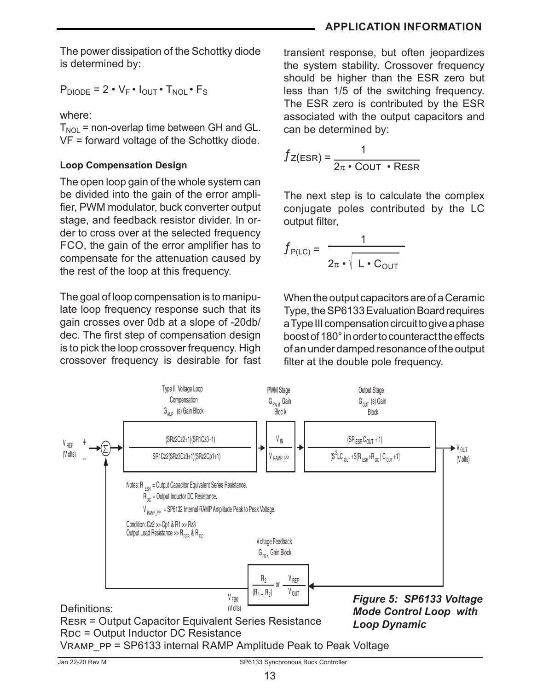## **APPLICATION INFORMATION**

The power dissipation of the Schottky diode is determined by:

 $P_{DIODE} = 2 \cdot V_F \cdot I_{OUT} \cdot T_{NOL} \cdot F_S$ 

where:

 $T_{NOL}$  = non-overlap time between GH and GL. VF = forward voltage of the Schottky diode.

# **Loop Compensation Design**

The open loop gain of the whole system can be divided into the gain of the error amplifier, PWM modulator, buck converter output stage, and feedback resistor divider. In order to cross over at the selected frequency FCO, the gain of the error amplifier has to compensate for the attenuation caused by the rest of the loop at this frequency.

The goal of loop compensation is to manipulate loop frequency response such that its gain crosses over 0db at a slope of -20db/ dec. The first step of compensation design is to pick the loop crossover frequency. High crossover frequency is desirable for fast transient response, but often jeopardizes the system stability. Crossover frequency should be higher than the ESR zero but less than 1/5 of the switching frequency. The ESR zero is contributed by the ESR associated with the output capacitors and can be determined by:

$$
f_{Z(ESR)} = \frac{1}{2\pi \cdot \text{COUT} \cdot \text{ResR}}
$$

The next step is to calculate the complex conjugate poles contributed by the LC output filter,

$$
f_{P(LC)} = \frac{1}{2\pi \cdot \sqrt{L \cdot C_{OUT}}}
$$

When the output capacitors are of a Ceramic Type, the SP6133 Evaluation Board requires a Type III compensation circuit to give a phase boost of 180° in order to counteract the effects of an under damped resonance of the output filter at the double pole frequency.

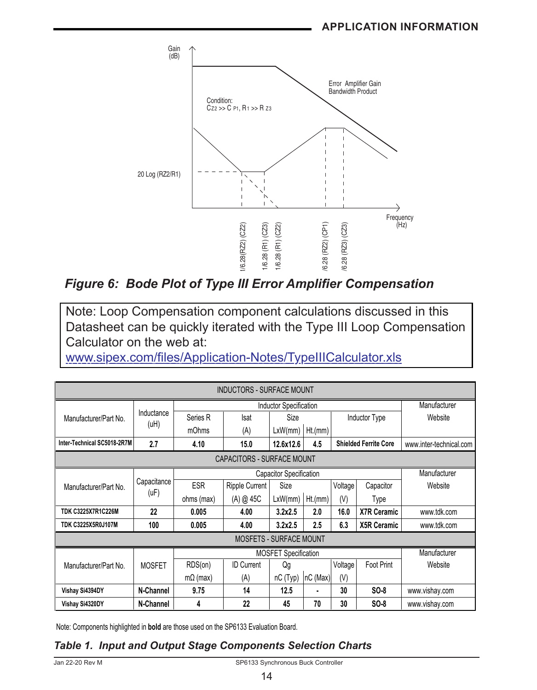

*Figure 6: Bode Plot of Type III Error Amplifier Compensation*

Note: Loop Compensation component calculations discussed in this Datasheet can be quickly iterated with the Type III Loop Compensation Calculator on the web at:

[www.sipex.com/files/Application-Notes/TypeIIICalculator.xls](Note: Loop Compensation component calculations discussed in this application note can be quickly iterated with the Type III Loop Compensation Calculator on the web at: www.sipex.com/files/Application-Notes/TypeIIICalculator.xls)

| <b>INDUCTORS - SURFACE MOUNT</b> |                                   |                                |                                |                             |          |                              |                      |                         |
|----------------------------------|-----------------------------------|--------------------------------|--------------------------------|-----------------------------|----------|------------------------------|----------------------|-------------------------|
| <b>Inductor Specification</b>    |                                   |                                |                                |                             |          |                              |                      | Manufacturer            |
| Manufacturer/Part No.            | Inductance                        | Series R                       | Isat                           | Size                        |          |                              | <b>Inductor Type</b> | Website                 |
|                                  | (uH)                              | mOhms                          | (A)                            | LxW/mm                      | Ht.(mm)  |                              |                      |                         |
| Inter-Technical SC5018-2R7M      | 2.7                               | 4.10                           | 15.0                           | 12.6x12.6                   | 4.5      | <b>Shielded Ferrite Core</b> |                      | www.inter-technical.com |
|                                  | <b>CAPACITORS - SURFACE MOUNT</b> |                                |                                |                             |          |                              |                      |                         |
|                                  |                                   | <b>Capacitor Specification</b> |                                |                             |          |                              | Manufacturer         |                         |
| Manufacturer/Part No.            | Capacitance<br>( uF)              | <b>ESR</b>                     | <b>Ripple Current</b>          | Size                        |          | Voltage                      | Capacitor            | Website                 |
|                                  |                                   | ohms (max)                     | (A) @ 45C                      | LxW/mm                      | Ht.(mm)  | (V)                          | Type                 |                         |
| <b>TDK C3225X7R1C226M</b>        | 22                                | 0.005                          | 4.00                           | 3.2x2.5                     | 2.0      | 16.0                         | <b>X7R Ceramic</b>   | www.tdk.com             |
| <b>TDK C3225X5R0J107M</b>        | 100                               | 0.005                          | 4.00                           | 3.2x2.5                     | 2.5      | 6.3                          | <b>X5R Ceramic</b>   | www.tdk.com             |
|                                  |                                   |                                | <b>MOSFETS - SURFACE MOUNT</b> |                             |          |                              |                      |                         |
|                                  |                                   |                                |                                | <b>MOSFET Specification</b> |          |                              |                      | Manufacturer            |
| Manufacturer/Part No.            | <b>MOSFET</b>                     | RDS(on)                        | <b>ID Current</b>              | Qg                          |          | Voltage                      | Foot Print           | Website                 |
|                                  |                                   | $m\Omega$ (max)                | (A)                            | nC (Typ)                    | nC (Max) | (V)                          |                      |                         |
| Vishay Si4394DY                  | N-Channel                         | 9.75                           | 14                             | 12.5                        |          | 30                           | SO-8                 | www.vishay.com          |
| Vishay Si4320DY                  | N-Channel                         | 4                              | 22                             | 45                          | 70       | 30                           | $SO-8$               | www.vishay.com          |

Note: Components highlighted in **bold** are those used on the SP6133 Evaluation Board.

# *Table 1. Input and Output Stage Components Selection Charts*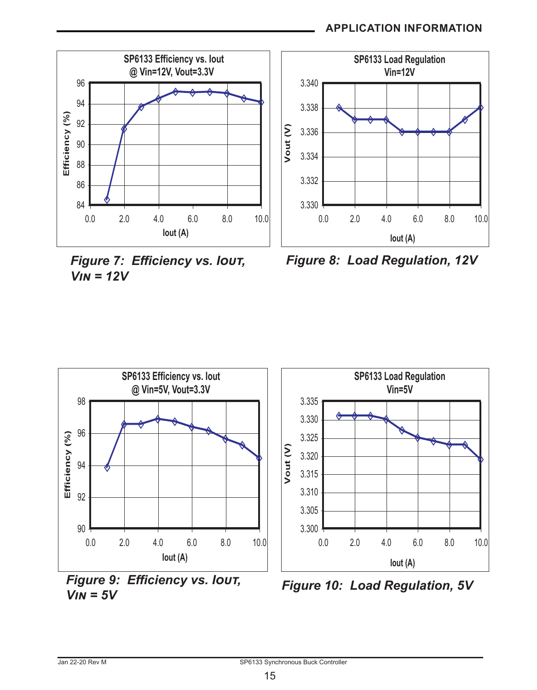## **APPLICATION INFORMATION**



*Figure 7: Efficiency vs. Iout, Vin = 12V*







*<sup>V</sup>in = 5V Figure 10: Load Regulation, 5V*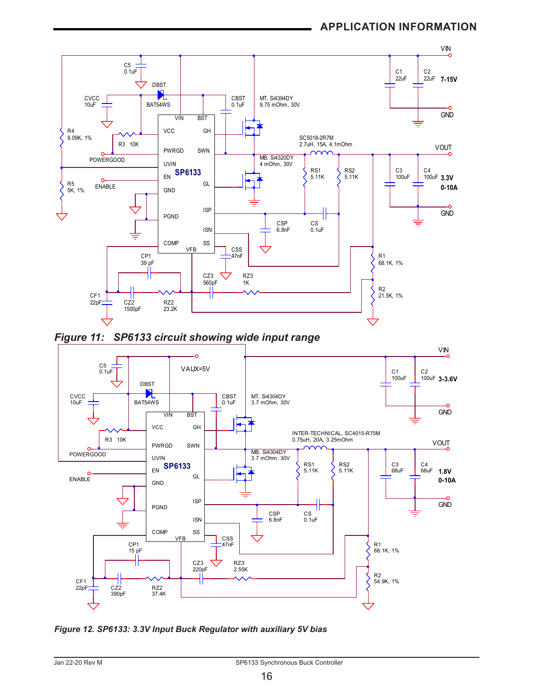





*Figure 12. SP6133: 3.3V Input Buck Regulator with auxiliary 5V bias*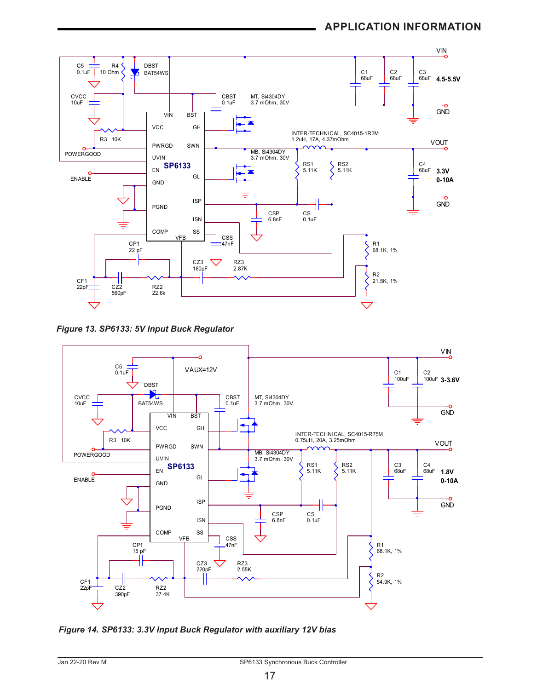

*Figure 13. SP6133: 5V Input Buck Regulator* 



*Figure 14. SP6133: 3.3V Input Buck Regulator with auxiliary 12V bias*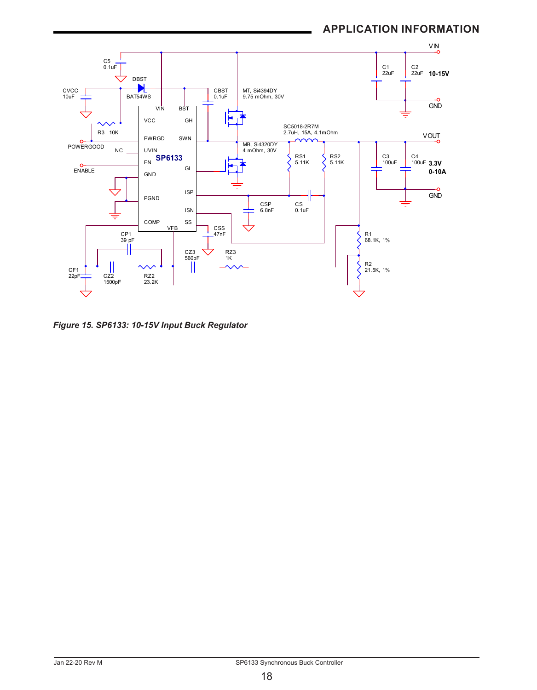

*Figure 15. SP6133: 10-15V Input Buck Regulator*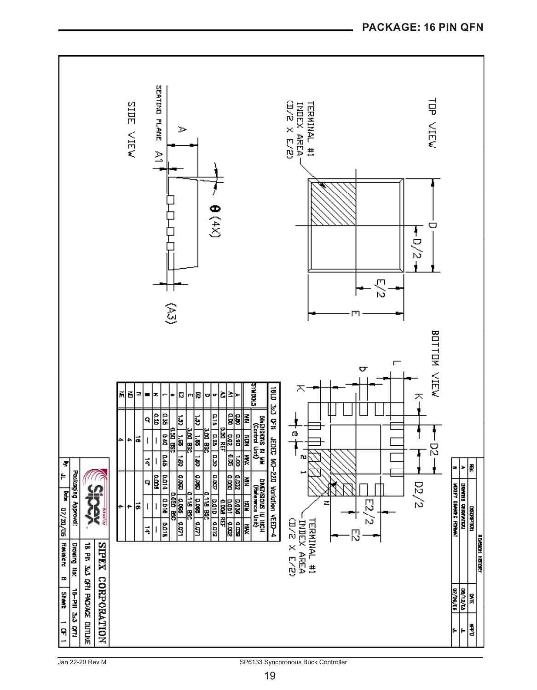

Jan 22-20 Rev M SP6133 Synchronous Buck Controller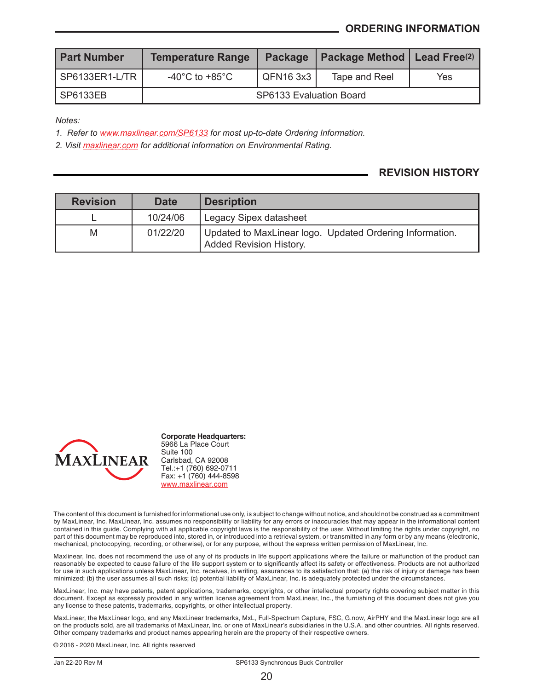| <b>Part Number</b> | <b>Temperature Range</b>             | <b>Package</b> | Package Method   Lead Free(2) |     |  |  |
|--------------------|--------------------------------------|----------------|-------------------------------|-----|--|--|
| SP6133ER1-L/TR I   | -40 $^{\circ}$ C to +85 $^{\circ}$ C | l QFN16 3x3    | Tape and Reel                 | Yes |  |  |
| SP6133EB           | SP6133 Evaluation Board              |                |                               |     |  |  |

*Notes:*

*1. Refer to [www.maxlinear.com/SP6133](http://www.maxlinear.com/SP6133) for most up-to-date Ordering Information.*

*2. Visit [maxlinear.com](http://www.maxlinear.com) for additional information on Environmental Rating.*

#### **REVISION HISTORY**

| <b>Revision</b> | <b>Date</b> | Desription                                                                          |
|-----------------|-------------|-------------------------------------------------------------------------------------|
|                 | 10/24/06    | Legacy Sipex datasheet                                                              |
| M               | 01/22/20    | Updated to MaxLinear logo. Updated Ordering Information.<br>Added Revision History. |



**Corporate Headquarters:** 5966 La Place Court Suite 100 Carlsbad, CA 92008 Tel.:+1 (760) 692-0711 Fax: +1 (760) 444-8598 www.maxlinear.com

The content of this document is furnished for informational use only, is subject to change without notice, and should not be construed as a commitment by MaxLinear, Inc. MaxLinear, Inc. assumes no responsibility or liability for any errors or inaccuracies that may appear in the informational content contained in this guide. Complying with all applicable copyright laws is the responsibility of the user. Without limiting the rights under copyright, no part of this document may be reproduced into, stored in, or introduced into a retrieval system, or transmitted in any form or by any means (electronic, mechanical, photocopying, recording, or otherwise), or for any purpose, without the express written permission of MaxLinear, Inc.

Maxlinear, Inc. does not recommend the use of any of its products in life support applications where the failure or malfunction of the product can reasonably be expected to cause failure of the life support system or to significantly affect its safety or effectiveness. Products are not authorized for use in such applications unless MaxLinear, Inc. receives, in writing, assurances to its satisfaction that: (a) the risk of injury or damage has been<br>minimized; (b) the user assumes all such risks; (c) potential liabili

MaxLinear, Inc. may have patents, patent applications, trademarks, copyrights, or other intellectual property rights covering subject matter in this document. Except as expressly provided in any written license agreement from MaxLinear, Inc., the furnishing of this document does not give you any license to these patents, trademarks, copyrights, or other intellectual property.

MaxLinear, the MaxLinear logo, and any MaxLinear trademarks, MxL, Full-Spectrum Capture, FSC, G.now, AirPHY and the MaxLinear logo are all on the products sold, are all trademarks of MaxLinear, Inc. or one of MaxLinear's subsidiaries in the U.S.A. and other countries. All rights reserved. Other company trademarks and product names appearing herein are the property of their respective owners.

© 2016 - 2020 MaxLinear, Inc. All rights reserved